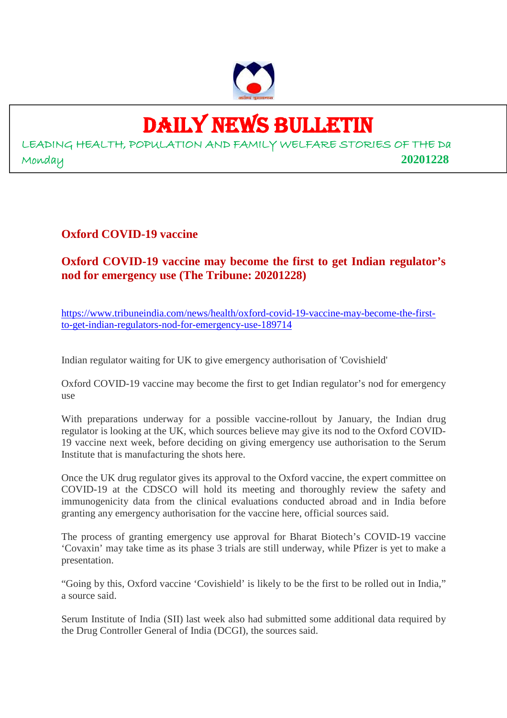

# DAILY NEWS BULLETIN

LEADING HEALTH, POPULATION AND FAMILY WELFARE STORIES OF THE Da Monday **20201228**

**Oxford COVID-19 vaccine**

**Oxford COVID-19 vaccine may become the first to get Indian regulator's nod for emergency use (The Tribune: 20201228)**

https://www.tribuneindia.com/news/health/oxford-covid-19-vaccine-may-become-the-firstto-get-indian-regulators-nod-for-emergency-use-189714

Indian regulator waiting for UK to give emergency authorisation of 'Covishield'

Oxford COVID-19 vaccine may become the first to get Indian regulator's nod for emergency use

With preparations underway for a possible vaccine-rollout by January, the Indian drug regulator is looking at the UK, which sources believe may give its nod to the Oxford COVID-19 vaccine next week, before deciding on giving emergency use authorisation to the Serum Institute that is manufacturing the shots here.

Once the UK drug regulator gives its approval to the Oxford vaccine, the expert committee on COVID-19 at the CDSCO will hold its meeting and thoroughly review the safety and immunogenicity data from the clinical evaluations conducted abroad and in India before granting any emergency authorisation for the vaccine here, official sources said.

The process of granting emergency use approval for Bharat Biotech's COVID-19 vaccine 'Covaxin' may take time as its phase 3 trials are still underway, while Pfizer is yet to make a presentation.

"Going by this, Oxford vaccine 'Covishield' is likely to be the first to be rolled out in India," a source said.

Serum Institute of India (SII) last week also had submitted some additional data required by the Drug Controller General of India (DCGI), the sources said.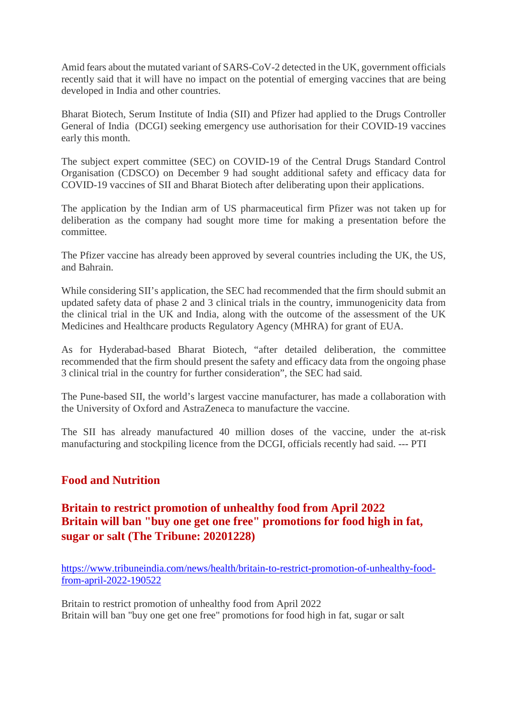Amid fears about the mutated variant of SARS-CoV-2 detected in the UK, government officials recently said that it will have no impact on the potential of emerging vaccines that are being developed in India and other countries.

Bharat Biotech, Serum Institute of India (SII) and Pfizer had applied to the Drugs Controller General of India (DCGI) seeking emergency use authorisation for their COVID-19 vaccines early this month.

The subject expert committee (SEC) on COVID-19 of the Central Drugs Standard Control Organisation (CDSCO) on December 9 had sought additional safety and efficacy data for COVID-19 vaccines of SII and Bharat Biotech after deliberating upon their applications.

The application by the Indian arm of US pharmaceutical firm Pfizer was not taken up for deliberation as the company had sought more time for making a presentation before the committee.

The Pfizer vaccine has already been approved by several countries including the UK, the US, and Bahrain.

While considering SII's application, the SEC had recommended that the firm should submit an updated safety data of phase 2 and 3 clinical trials in the country, immunogenicity data from the clinical trial in the UK and India, along with the outcome of the assessment of the UK Medicines and Healthcare products Regulatory Agency (MHRA) for grant of EUA.

As for Hyderabad-based Bharat Biotech, "after detailed deliberation, the committee recommended that the firm should present the safety and efficacy data from the ongoing phase 3 clinical trial in the country for further consideration", the SEC had said.

The Pune-based SII, the world's largest vaccine manufacturer, has made a collaboration with the University of Oxford and AstraZeneca to manufacture the vaccine.

The SII has already manufactured 40 million doses of the vaccine, under the at-risk manufacturing and stockpiling licence from the DCGI, officials recently had said. --- PTI

#### **Food and Nutrition**

# **Britain to restrict promotion of unhealthy food from April 2022 Britain will ban "buy one get one free" promotions for food high in fat, sugar or salt (The Tribune: 20201228)**

https://www.tribuneindia.com/news/health/britain-to-restrict-promotion-of-unhealthy-foodfrom-april-2022-190522

Britain to restrict promotion of unhealthy food from April 2022 Britain will ban "buy one get one free" promotions for food high in fat, sugar or salt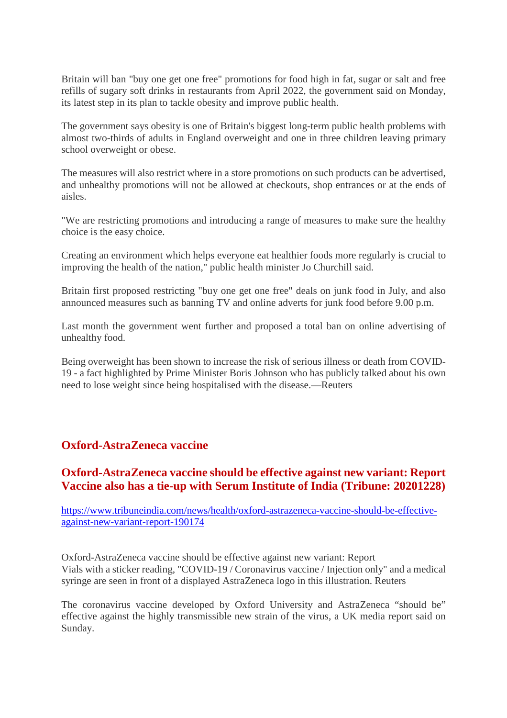Britain will ban "buy one get one free" promotions for food high in fat, sugar or salt and free refills of sugary soft drinks in restaurants from April 2022, the government said on Monday, its latest step in its plan to tackle obesity and improve public health.

The government says obesity is one of Britain's biggest long-term public health problems with almost two-thirds of adults in England overweight and one in three children leaving primary school overweight or obese.

The measures will also restrict where in a store promotions on such products can be advertised, and unhealthy promotions will not be allowed at checkouts, shop entrances or at the ends of aisles.

"We are restricting promotions and introducing a range of measures to make sure the healthy choice is the easy choice.

Creating an environment which helps everyone eat healthier foods more regularly is crucial to improving the health of the nation," public health minister Jo Churchill said.

Britain first proposed restricting "buy one get one free" deals on junk food in July, and also announced measures such as banning TV and online adverts for junk food before 9.00 p.m.

Last month the government went further and proposed a total ban on online advertising of unhealthy food.

Being overweight has been shown to increase the risk of serious illness or death from COVID-19 - a fact highlighted by Prime Minister Boris Johnson who has publicly talked about his own need to lose weight since being hospitalised with the disease.—Reuters

#### **Oxford-AstraZeneca vaccine**

#### **Oxford-AstraZeneca vaccine should be effective against new variant: Report Vaccine also has a tie-up with Serum Institute of India (Tribune: 20201228)**

https://www.tribuneindia.com/news/health/oxford-astrazeneca-vaccine-should-be-effectiveagainst-new-variant-report-190174

Oxford-AstraZeneca vaccine should be effective against new variant: Report Vials with a sticker reading, "COVID-19 / Coronavirus vaccine / Injection only" and a medical syringe are seen in front of a displayed AstraZeneca logo in this illustration. Reuters

The coronavirus vaccine developed by Oxford University and AstraZeneca "should be" effective against the highly transmissible new strain of the virus, a UK media report said on Sunday.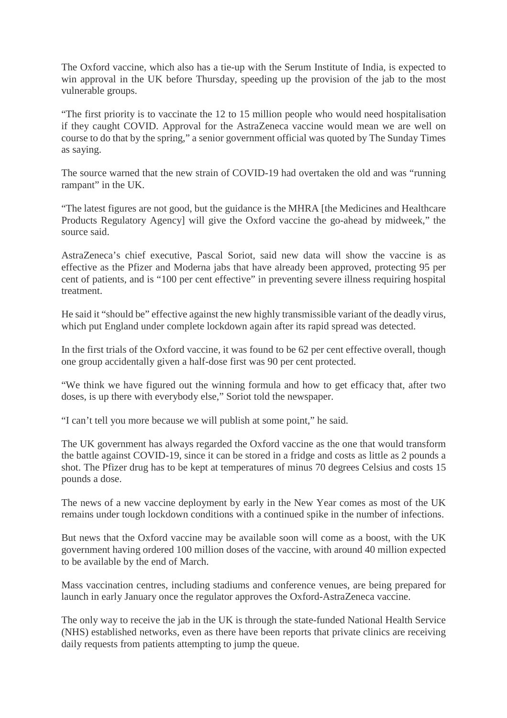The Oxford vaccine, which also has a tie-up with the Serum Institute of India, is expected to win approval in the UK before Thursday, speeding up the provision of the jab to the most vulnerable groups.

"The first priority is to vaccinate the 12 to 15 million people who would need hospitalisation if they caught COVID. Approval for the AstraZeneca vaccine would mean we are well on course to do that by the spring," a senior government official was quoted by The Sunday Times as saying.

The source warned that the new strain of COVID-19 had overtaken the old and was "running rampant" in the UK.

"The latest figures are not good, but the guidance is the MHRA [the Medicines and Healthcare Products Regulatory Agency] will give the Oxford vaccine the go-ahead by midweek," the source said.

AstraZeneca's chief executive, Pascal Soriot, said new data will show the vaccine is as effective as the Pfizer and Moderna jabs that have already been approved, protecting 95 per cent of patients, and is "100 per cent effective" in preventing severe illness requiring hospital treatment.

He said it "should be" effective against the new highly transmissible variant of the deadly virus, which put England under complete lockdown again after its rapid spread was detected.

In the first trials of the Oxford vaccine, it was found to be 62 per cent effective overall, though one group accidentally given a half-dose first was 90 per cent protected.

"We think we have figured out the winning formula and how to get efficacy that, after two doses, is up there with everybody else," Soriot told the newspaper.

"I can't tell you more because we will publish at some point," he said.

The UK government has always regarded the Oxford vaccine as the one that would transform the battle against COVID-19, since it can be stored in a fridge and costs as little as 2 pounds a shot. The Pfizer drug has to be kept at temperatures of minus 70 degrees Celsius and costs 15 pounds a dose.

The news of a new vaccine deployment by early in the New Year comes as most of the UK remains under tough lockdown conditions with a continued spike in the number of infections.

But news that the Oxford vaccine may be available soon will come as a boost, with the UK government having ordered 100 million doses of the vaccine, with around 40 million expected to be available by the end of March.

Mass vaccination centres, including stadiums and conference venues, are being prepared for launch in early January once the regulator approves the Oxford-AstraZeneca vaccine.

The only way to receive the jab in the UK is through the state-funded National Health Service (NHS) established networks, even as there have been reports that private clinics are receiving daily requests from patients attempting to jump the queue.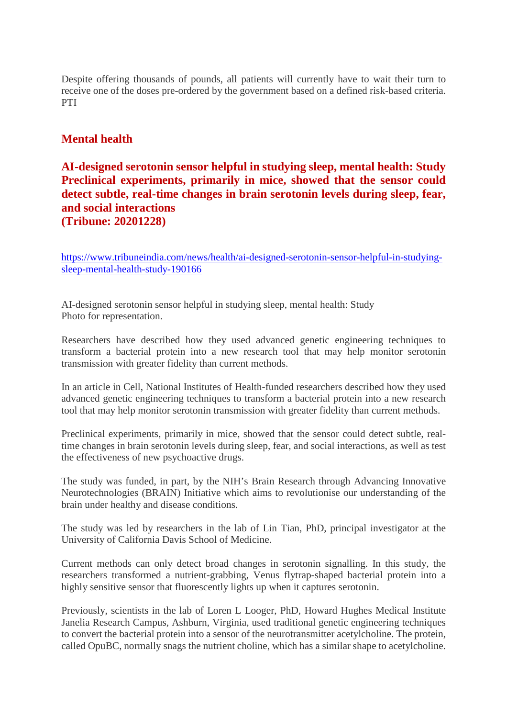Despite offering thousands of pounds, all patients will currently have to wait their turn to receive one of the doses pre-ordered by the government based on a defined risk-based criteria. PTI

#### **Mental health**

#### **AI-designed serotonin sensor helpful in studying sleep, mental health: Study Preclinical experiments, primarily in mice, showed that the sensor could detect subtle, real-time changes in brain serotonin levels during sleep, fear, and social interactions (Tribune: 20201228)**

https://www.tribuneindia.com/news/health/ai-designed-serotonin-sensor-helpful-in-studyingsleep-mental-health-study-190166

AI-designed serotonin sensor helpful in studying sleep, mental health: Study Photo for representation.

Researchers have described how they used advanced genetic engineering techniques to transform a bacterial protein into a new research tool that may help monitor serotonin transmission with greater fidelity than current methods.

In an article in Cell, National Institutes of Health-funded researchers described how they used advanced genetic engineering techniques to transform a bacterial protein into a new research tool that may help monitor serotonin transmission with greater fidelity than current methods.

Preclinical experiments, primarily in mice, showed that the sensor could detect subtle, realtime changes in brain serotonin levels during sleep, fear, and social interactions, as well as test the effectiveness of new psychoactive drugs.

The study was funded, in part, by the NIH's Brain Research through Advancing Innovative Neurotechnologies (BRAIN) Initiative which aims to revolutionise our understanding of the brain under healthy and disease conditions.

The study was led by researchers in the lab of Lin Tian, PhD, principal investigator at the University of California Davis School of Medicine.

Current methods can only detect broad changes in serotonin signalling. In this study, the researchers transformed a nutrient-grabbing, Venus flytrap-shaped bacterial protein into a highly sensitive sensor that fluorescently lights up when it captures serotonin.

Previously, scientists in the lab of Loren L Looger, PhD, Howard Hughes Medical Institute Janelia Research Campus, Ashburn, Virginia, used traditional genetic engineering techniques to convert the bacterial protein into a sensor of the neurotransmitter acetylcholine. The protein, called OpuBC, normally snags the nutrient choline, which has a similar shape to acetylcholine.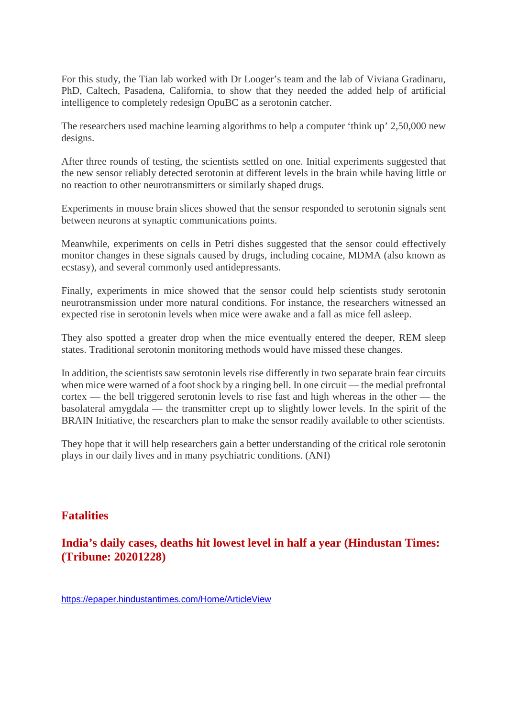For this study, the Tian lab worked with Dr Looger's team and the lab of Viviana Gradinaru, PhD, Caltech, Pasadena, California, to show that they needed the added help of artificial intelligence to completely redesign OpuBC as a serotonin catcher.

The researchers used machine learning algorithms to help a computer 'think up' 2,50,000 new designs.

After three rounds of testing, the scientists settled on one. Initial experiments suggested that the new sensor reliably detected serotonin at different levels in the brain while having little or no reaction to other neurotransmitters or similarly shaped drugs.

Experiments in mouse brain slices showed that the sensor responded to serotonin signals sent between neurons at synaptic communications points.

Meanwhile, experiments on cells in Petri dishes suggested that the sensor could effectively monitor changes in these signals caused by drugs, including cocaine, MDMA (also known as ecstasy), and several commonly used antidepressants.

Finally, experiments in mice showed that the sensor could help scientists study serotonin neurotransmission under more natural conditions. For instance, the researchers witnessed an expected rise in serotonin levels when mice were awake and a fall as mice fell asleep.

They also spotted a greater drop when the mice eventually entered the deeper, REM sleep states. Traditional serotonin monitoring methods would have missed these changes.

In addition, the scientists saw serotonin levels rise differently in two separate brain fear circuits when mice were warned of a foot shock by a ringing bell. In one circuit — the medial prefrontal cortex — the bell triggered serotonin levels to rise fast and high whereas in the other — the basolateral amygdala — the transmitter crept up to slightly lower levels. In the spirit of the BRAIN Initiative, the researchers plan to make the sensor readily available to other scientists.

They hope that it will help researchers gain a better understanding of the critical role serotonin plays in our daily lives and in many psychiatric conditions. (ANI)

#### **Fatalities**

**India's daily cases, deaths hit lowest level in half a year (Hindustan Times: (Tribune: 20201228)**

https://epaper.hindustantimes.com/Home/ArticleView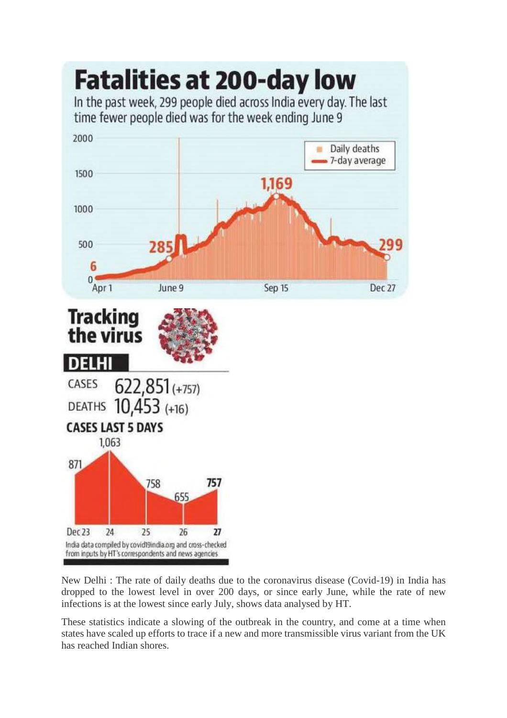

New Delhi : The rate of daily deaths due to the coronavirus disease (Covid-19) in India has dropped to the lowest level in over 200 days, or since early June, while the rate of new infections is at the lowest since early July, shows data analysed by HT.

These statistics indicate a slowing of the outbreak in the country, and come at a time when states have scaled up efforts to trace if a new and more transmissible virus variant from the UK has reached Indian shores.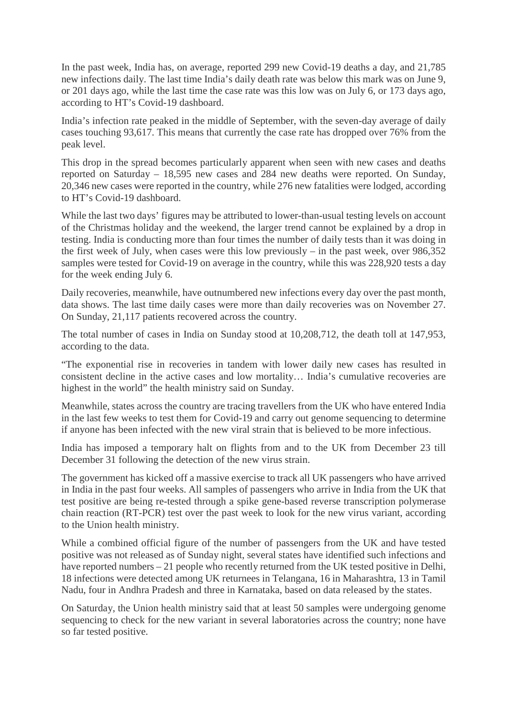In the past week, India has, on average, reported 299 new Covid-19 deaths a day, and 21,785 new infections daily. The last time India's daily death rate was below this mark was on June 9, or 201 days ago, while the last time the case rate was this low was on July 6, or 173 days ago, according to HT's Covid-19 dashboard.

India's infection rate peaked in the middle of September, with the seven-day average of daily cases touching 93,617. This means that currently the case rate has dropped over 76% from the peak level.

This drop in the spread becomes particularly apparent when seen with new cases and deaths reported on Saturday – 18,595 new cases and 284 new deaths were reported. On Sunday, 20,346 new cases were reported in the country, while 276 new fatalities were lodged, according to HT's Covid-19 dashboard.

While the last two days' figures may be attributed to lower-than-usual testing levels on account of the Christmas holiday and the weekend, the larger trend cannot be explained by a drop in testing. India is conducting more than four times the number of daily tests than it was doing in the first week of July, when cases were this low previously – in the past week, over 986,352 samples were tested for Covid-19 on average in the country, while this was 228,920 tests a day for the week ending July 6.

Daily recoveries, meanwhile, have outnumbered new infections every day over the past month, data shows. The last time daily cases were more than daily recoveries was on November 27. On Sunday, 21,117 patients recovered across the country.

The total number of cases in India on Sunday stood at 10,208,712, the death toll at 147,953, according to the data.

"The exponential rise in recoveries in tandem with lower daily new cases has resulted in consistent decline in the active cases and low mortality… India's cumulative recoveries are highest in the world" the health ministry said on Sunday.

Meanwhile, states across the country are tracing travellers from the UK who have entered India in the last few weeks to test them for Covid-19 and carry out genome sequencing to determine if anyone has been infected with the new viral strain that is believed to be more infectious.

India has imposed a temporary halt on flights from and to the UK from December 23 till December 31 following the detection of the new virus strain.

The government has kicked off a massive exercise to track all UK passengers who have arrived in India in the past four weeks. All samples of passengers who arrive in India from the UK that test positive are being re-tested through a spike gene-based reverse transcription polymerase chain reaction (RT-PCR) test over the past week to look for the new virus variant, according to the Union health ministry.

While a combined official figure of the number of passengers from the UK and have tested positive was not released as of Sunday night, several states have identified such infections and have reported numbers – 21 people who recently returned from the UK tested positive in Delhi, 18 infections were detected among UK returnees in Telangana, 16 in Maharashtra, 13 in Tamil Nadu, four in Andhra Pradesh and three in Karnataka, based on data released by the states.

On Saturday, the Union health ministry said that at least 50 samples were undergoing genome sequencing to check for the new variant in several laboratories across the country; none have so far tested positive.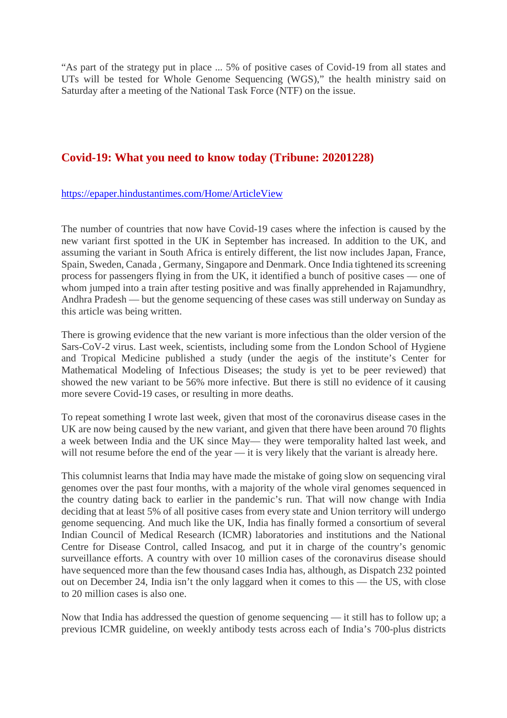"As part of the strategy put in place ... 5% of positive cases of Covid-19 from all states and UTs will be tested for Whole Genome Sequencing (WGS)," the health ministry said on Saturday after a meeting of the National Task Force (NTF) on the issue.

#### **Covid-19: What you need to know today (Tribune: 20201228)**

https://epaper.hindustantimes.com/Home/ArticleView

The number of countries that now have Covid-19 cases where the infection is caused by the new variant first spotted in the UK in September has increased. In addition to the UK, and assuming the variant in South Africa is entirely different, the list now includes Japan, France, Spain, Sweden, Canada , Germany, Singapore and Denmark. Once India tightened its screening process for passengers flying in from the UK, it identified a bunch of positive cases — one of whom jumped into a train after testing positive and was finally apprehended in Rajamundhry, Andhra Pradesh — but the genome sequencing of these cases was still underway on Sunday as this article was being written.

There is growing evidence that the new variant is more infectious than the older version of the Sars-CoV-2 virus. Last week, scientists, including some from the London School of Hygiene and Tropical Medicine published a study (under the aegis of the institute's Center for Mathematical Modeling of Infectious Diseases; the study is yet to be peer reviewed) that showed the new variant to be 56% more infective. But there is still no evidence of it causing more severe Covid-19 cases, or resulting in more deaths.

To repeat something I wrote last week, given that most of the coronavirus disease cases in the UK are now being caused by the new variant, and given that there have been around 70 flights a week between India and the UK since May— they were temporality halted last week, and will not resume before the end of the year — it is very likely that the variant is already here.

This columnist learns that India may have made the mistake of going slow on sequencing viral genomes over the past four months, with a majority of the whole viral genomes sequenced in the country dating back to earlier in the pandemic's run. That will now change with India deciding that at least 5% of all positive cases from every state and Union territory will undergo genome sequencing. And much like the UK, India has finally formed a consortium of several Indian Council of Medical Research (ICMR) laboratories and institutions and the National Centre for Disease Control, called Insacog, and put it in charge of the country's genomic surveillance efforts. A country with over 10 million cases of the coronavirus disease should have sequenced more than the few thousand cases India has, although, as Dispatch 232 pointed out on December 24, India isn't the only laggard when it comes to this — the US, with close to 20 million cases is also one.

Now that India has addressed the question of genome sequencing — it still has to follow up; a previous ICMR guideline, on weekly antibody tests across each of India's 700-plus districts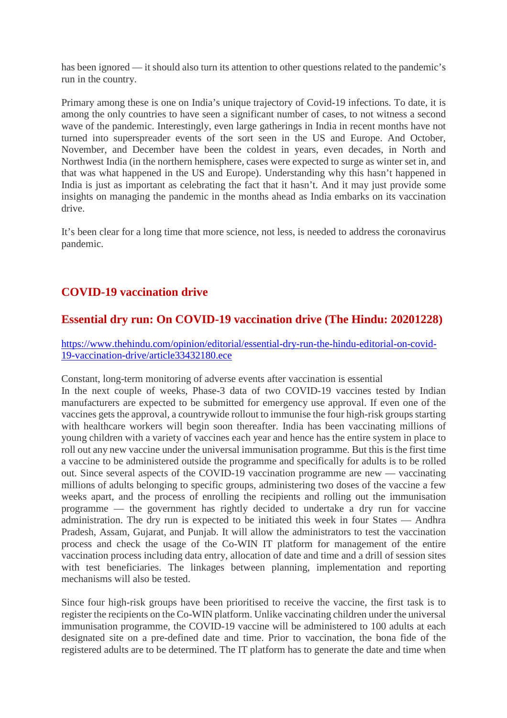has been ignored — it should also turn its attention to other questions related to the pandemic's run in the country.

Primary among these is one on India's unique trajectory of Covid-19 infections. To date, it is among the only countries to have seen a significant number of cases, to not witness a second wave of the pandemic. Interestingly, even large gatherings in India in recent months have not turned into superspreader events of the sort seen in the US and Europe. And October, November, and December have been the coldest in years, even decades, in North and Northwest India (in the northern hemisphere, cases were expected to surge as winter set in, and that was what happened in the US and Europe). Understanding why this hasn't happened in India is just as important as celebrating the fact that it hasn't. And it may just provide some insights on managing the pandemic in the months ahead as India embarks on its vaccination drive.

It's been clear for a long time that more science, not less, is needed to address the coronavirus pandemic.

# **COVID-19 vaccination drive**

#### **Essential dry run: On COVID-19 vaccination drive (The Hindu: 20201228)**

https://www.thehindu.com/opinion/editorial/essential-dry-run-the-hindu-editorial-on-covid-19-vaccination-drive/article33432180.ece

Constant, long-term monitoring of adverse events after vaccination is essential

In the next couple of weeks, Phase-3 data of two COVID-19 vaccines tested by Indian manufacturers are expected to be submitted for emergency use approval. If even one of the vaccines gets the approval, a countrywide rollout to immunise the four high-risk groups starting with healthcare workers will begin soon thereafter. India has been vaccinating millions of young children with a variety of vaccines each year and hence has the entire system in place to roll out any new vaccine under the universal immunisation programme. But this is the first time a vaccine to be administered outside the programme and specifically for adults is to be rolled out. Since several aspects of the COVID-19 vaccination programme are new — vaccinating millions of adults belonging to specific groups, administering two doses of the vaccine a few weeks apart, and the process of enrolling the recipients and rolling out the immunisation programme — the government has rightly decided to undertake a dry run for vaccine administration. The dry run is expected to be initiated this week in four States — Andhra Pradesh, Assam, Gujarat, and Punjab. It will allow the administrators to test the vaccination process and check the usage of the Co-WIN IT platform for management of the entire vaccination process including data entry, allocation of date and time and a drill of session sites with test beneficiaries. The linkages between planning, implementation and reporting mechanisms will also be tested.

Since four high-risk groups have been prioritised to receive the vaccine, the first task is to register the recipients on the Co-WIN platform. Unlike vaccinating children under the universal immunisation programme, the COVID-19 vaccine will be administered to 100 adults at each designated site on a pre-defined date and time. Prior to vaccination, the bona fide of the registered adults are to be determined. The IT platform has to generate the date and time when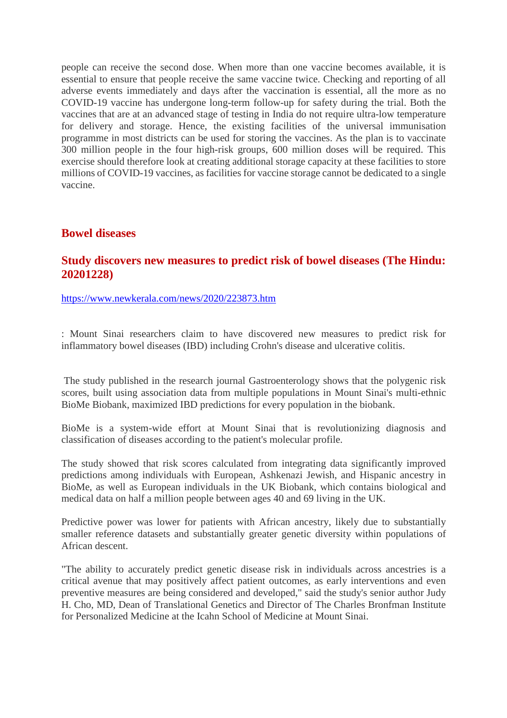people can receive the second dose. When more than one vaccine becomes available, it is essential to ensure that people receive the same vaccine twice. Checking and reporting of all adverse events immediately and days after the vaccination is essential, all the more as no COVID-19 vaccine has undergone long-term follow-up for safety during the trial. Both the vaccines that are at an advanced stage of testing in India do not require ultra-low temperature for delivery and storage. Hence, the existing facilities of the universal immunisation programme in most districts can be used for storing the vaccines. As the plan is to vaccinate 300 million people in the four high-risk groups, 600 million doses will be required. This exercise should therefore look at creating additional storage capacity at these facilities to store millions of COVID-19 vaccines, as facilities for vaccine storage cannot be dedicated to a single vaccine.

#### **Bowel diseases**

#### **Study discovers new measures to predict risk of bowel diseases (The Hindu: 20201228)**

https://www.newkerala.com/news/2020/223873.htm

: Mount Sinai researchers claim to have discovered new measures to predict risk for inflammatory bowel diseases (IBD) including Crohn's disease and ulcerative colitis.

The study published in the research journal Gastroenterology shows that the polygenic risk scores, built using association data from multiple populations in Mount Sinai's multi-ethnic BioMe Biobank, maximized IBD predictions for every population in the biobank.

BioMe is a system-wide effort at Mount Sinai that is revolutionizing diagnosis and classification of diseases according to the patient's molecular profile.

The study showed that risk scores calculated from integrating data significantly improved predictions among individuals with European, Ashkenazi Jewish, and Hispanic ancestry in BioMe, as well as European individuals in the UK Biobank, which contains biological and medical data on half a million people between ages 40 and 69 living in the UK.

Predictive power was lower for patients with African ancestry, likely due to substantially smaller reference datasets and substantially greater genetic diversity within populations of African descent.

"The ability to accurately predict genetic disease risk in individuals across ancestries is a critical avenue that may positively affect patient outcomes, as early interventions and even preventive measures are being considered and developed," said the study's senior author Judy H. Cho, MD, Dean of Translational Genetics and Director of The Charles Bronfman Institute for Personalized Medicine at the Icahn School of Medicine at Mount Sinai.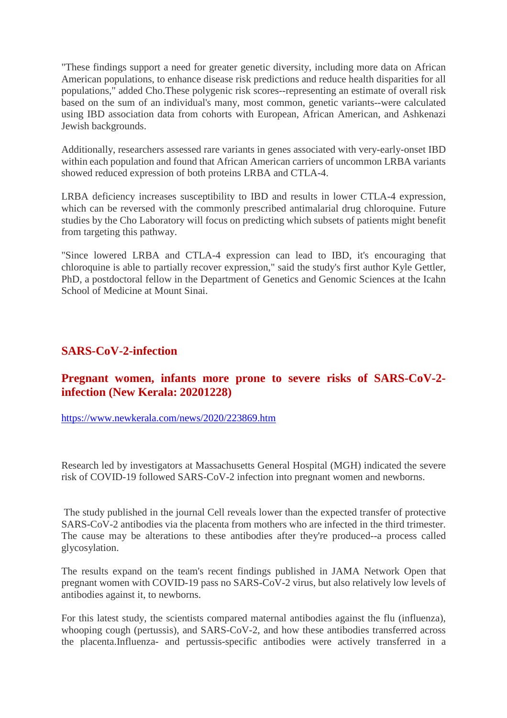"These findings support a need for greater genetic diversity, including more data on African American populations, to enhance disease risk predictions and reduce health disparities for all populations," added Cho.These polygenic risk scores--representing an estimate of overall risk based on the sum of an individual's many, most common, genetic variants--were calculated using IBD association data from cohorts with European, African American, and Ashkenazi Jewish backgrounds.

Additionally, researchers assessed rare variants in genes associated with very-early-onset IBD within each population and found that African American carriers of uncommon LRBA variants showed reduced expression of both proteins LRBA and CTLA-4.

LRBA deficiency increases susceptibility to IBD and results in lower CTLA-4 expression, which can be reversed with the commonly prescribed antimalarial drug chloroquine. Future studies by the Cho Laboratory will focus on predicting which subsets of patients might benefit from targeting this pathway.

"Since lowered LRBA and CTLA-4 expression can lead to IBD, it's encouraging that chloroquine is able to partially recover expression," said the study's first author Kyle Gettler, PhD, a postdoctoral fellow in the Department of Genetics and Genomic Sciences at the Icahn School of Medicine at Mount Sinai.

#### **SARS-CoV-2-infection**

#### **Pregnant women, infants more prone to severe risks of SARS-CoV-2 infection (New Kerala: 20201228)**

https://www.newkerala.com/news/2020/223869.htm

Research led by investigators at Massachusetts General Hospital (MGH) indicated the severe risk of COVID-19 followed SARS-CoV-2 infection into pregnant women and newborns.

The study published in the journal Cell reveals lower than the expected transfer of protective SARS-CoV-2 antibodies via the placenta from mothers who are infected in the third trimester. The cause may be alterations to these antibodies after they're produced--a process called glycosylation.

The results expand on the team's recent findings published in JAMA Network Open that pregnant women with COVID-19 pass no SARS-CoV-2 virus, but also relatively low levels of antibodies against it, to newborns.

For this latest study, the scientists compared maternal antibodies against the flu (influenza), whooping cough (pertussis), and SARS-CoV-2, and how these antibodies transferred across the placenta.Influenza- and pertussis-specific antibodies were actively transferred in a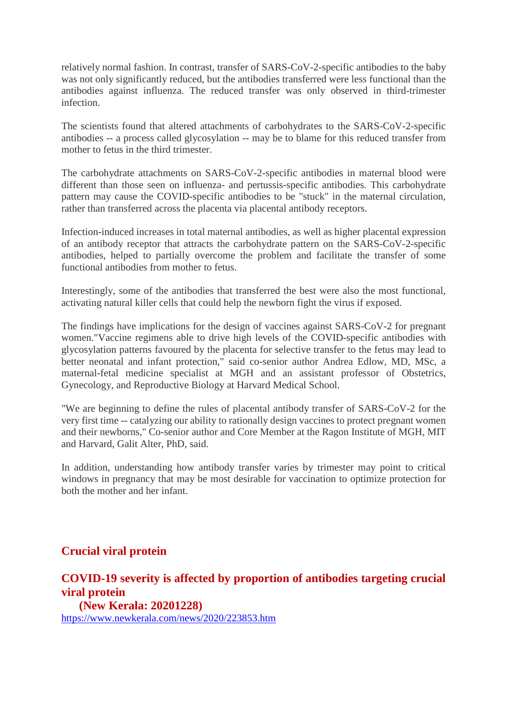relatively normal fashion. In contrast, transfer of SARS-CoV-2-specific antibodies to the baby was not only significantly reduced, but the antibodies transferred were less functional than the antibodies against influenza. The reduced transfer was only observed in third-trimester infection.

The scientists found that altered attachments of carbohydrates to the SARS-CoV-2-specific antibodies -- a process called glycosylation -- may be to blame for this reduced transfer from mother to fetus in the third trimester.

The carbohydrate attachments on SARS-CoV-2-specific antibodies in maternal blood were different than those seen on influenza- and pertussis-specific antibodies. This carbohydrate pattern may cause the COVID-specific antibodies to be "stuck" in the maternal circulation, rather than transferred across the placenta via placental antibody receptors.

Infection-induced increases in total maternal antibodies, as well as higher placental expression of an antibody receptor that attracts the carbohydrate pattern on the SARS-CoV-2-specific antibodies, helped to partially overcome the problem and facilitate the transfer of some functional antibodies from mother to fetus.

Interestingly, some of the antibodies that transferred the best were also the most functional, activating natural killer cells that could help the newborn fight the virus if exposed.

The findings have implications for the design of vaccines against SARS-CoV-2 for pregnant women."Vaccine regimens able to drive high levels of the COVID-specific antibodies with glycosylation patterns favoured by the placenta for selective transfer to the fetus may lead to better neonatal and infant protection," said co-senior author Andrea Edlow, MD, MSc, a maternal-fetal medicine specialist at MGH and an assistant professor of Obstetrics, Gynecology, and Reproductive Biology at Harvard Medical School.

"We are beginning to define the rules of placental antibody transfer of SARS-CoV-2 for the very first time -- catalyzing our ability to rationally design vaccines to protect pregnant women and their newborns," Co-senior author and Core Member at the Ragon Institute of MGH, MIT and Harvard, Galit Alter, PhD, said.

In addition, understanding how antibody transfer varies by trimester may point to critical windows in pregnancy that may be most desirable for vaccination to optimize protection for both the mother and her infant.

#### **Crucial viral protein**

### **COVID-19 severity is affected by proportion of antibodies targeting crucial viral protein**

**(New Kerala: 20201228)** https://www.newkerala.com/news/2020/223853.htm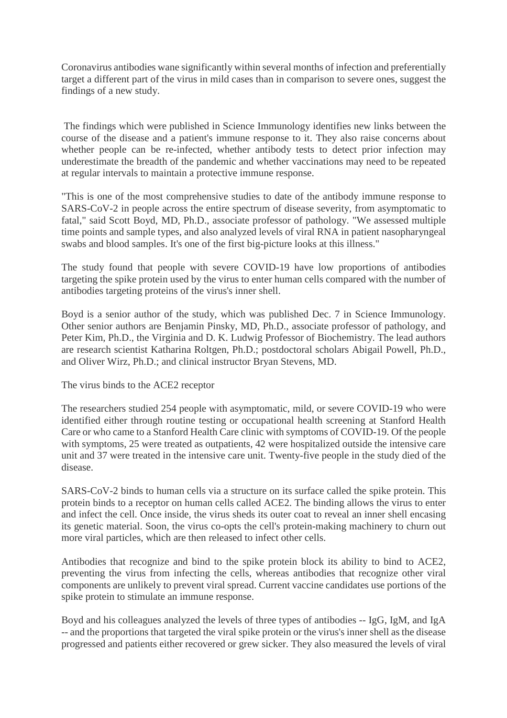Coronavirus antibodies wane significantly within several months of infection and preferentially target a different part of the virus in mild cases than in comparison to severe ones, suggest the findings of a new study.

The findings which were published in Science Immunology identifies new links between the course of the disease and a patient's immune response to it. They also raise concerns about whether people can be re-infected, whether antibody tests to detect prior infection may underestimate the breadth of the pandemic and whether vaccinations may need to be repeated at regular intervals to maintain a protective immune response.

"This is one of the most comprehensive studies to date of the antibody immune response to SARS-CoV-2 in people across the entire spectrum of disease severity, from asymptomatic to fatal," said Scott Boyd, MD, Ph.D., associate professor of pathology. "We assessed multiple time points and sample types, and also analyzed levels of viral RNA in patient nasopharyngeal swabs and blood samples. It's one of the first big-picture looks at this illness."

The study found that people with severe COVID-19 have low proportions of antibodies targeting the spike protein used by the virus to enter human cells compared with the number of antibodies targeting proteins of the virus's inner shell.

Boyd is a senior author of the study, which was published Dec. 7 in Science Immunology. Other senior authors are Benjamin Pinsky, MD, Ph.D., associate professor of pathology, and Peter Kim, Ph.D., the Virginia and D. K. Ludwig Professor of Biochemistry. The lead authors are research scientist Katharina Roltgen, Ph.D.; postdoctoral scholars Abigail Powell, Ph.D., and Oliver Wirz, Ph.D.; and clinical instructor Bryan Stevens, MD.

The virus binds to the ACE2 receptor

The researchers studied 254 people with asymptomatic, mild, or severe COVID-19 who were identified either through routine testing or occupational health screening at Stanford Health Care or who came to a Stanford Health Care clinic with symptoms of COVID-19. Of the people with symptoms, 25 were treated as outpatients, 42 were hospitalized outside the intensive care unit and 37 were treated in the intensive care unit. Twenty-five people in the study died of the disease.

SARS-CoV-2 binds to human cells via a structure on its surface called the spike protein. This protein binds to a receptor on human cells called ACE2. The binding allows the virus to enter and infect the cell. Once inside, the virus sheds its outer coat to reveal an inner shell encasing its genetic material. Soon, the virus co-opts the cell's protein-making machinery to churn out more viral particles, which are then released to infect other cells.

Antibodies that recognize and bind to the spike protein block its ability to bind to ACE2, preventing the virus from infecting the cells, whereas antibodies that recognize other viral components are unlikely to prevent viral spread. Current vaccine candidates use portions of the spike protein to stimulate an immune response.

Boyd and his colleagues analyzed the levels of three types of antibodies -- IgG, IgM, and IgA -- and the proportions that targeted the viral spike protein or the virus's inner shell as the disease progressed and patients either recovered or grew sicker. They also measured the levels of viral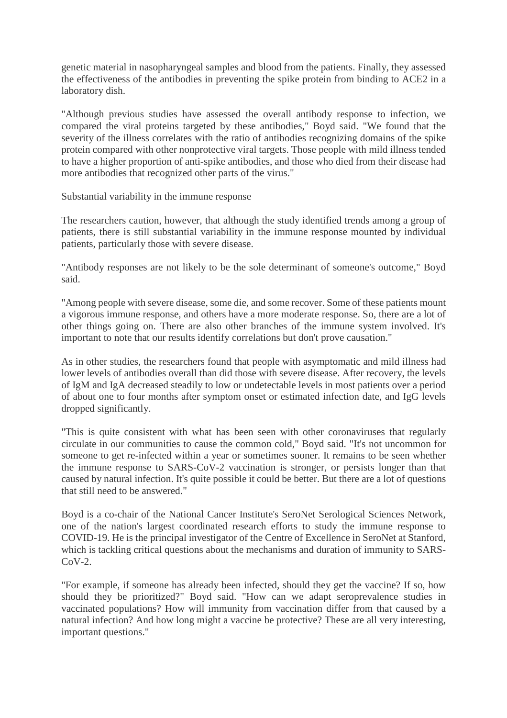genetic material in nasopharyngeal samples and blood from the patients. Finally, they assessed the effectiveness of the antibodies in preventing the spike protein from binding to ACE2 in a laboratory dish.

"Although previous studies have assessed the overall antibody response to infection, we compared the viral proteins targeted by these antibodies," Boyd said. "We found that the severity of the illness correlates with the ratio of antibodies recognizing domains of the spike protein compared with other nonprotective viral targets. Those people with mild illness tended to have a higher proportion of anti-spike antibodies, and those who died from their disease had more antibodies that recognized other parts of the virus."

Substantial variability in the immune response

The researchers caution, however, that although the study identified trends among a group of patients, there is still substantial variability in the immune response mounted by individual patients, particularly those with severe disease.

"Antibody responses are not likely to be the sole determinant of someone's outcome," Boyd said.

"Among people with severe disease, some die, and some recover. Some of these patients mount a vigorous immune response, and others have a more moderate response. So, there are a lot of other things going on. There are also other branches of the immune system involved. It's important to note that our results identify correlations but don't prove causation."

As in other studies, the researchers found that people with asymptomatic and mild illness had lower levels of antibodies overall than did those with severe disease. After recovery, the levels of IgM and IgA decreased steadily to low or undetectable levels in most patients over a period of about one to four months after symptom onset or estimated infection date, and IgG levels dropped significantly.

"This is quite consistent with what has been seen with other coronaviruses that regularly circulate in our communities to cause the common cold," Boyd said. "It's not uncommon for someone to get re-infected within a year or sometimes sooner. It remains to be seen whether the immune response to SARS-CoV-2 vaccination is stronger, or persists longer than that caused by natural infection. It's quite possible it could be better. But there are a lot of questions that still need to be answered."

Boyd is a co-chair of the National Cancer Institute's SeroNet Serological Sciences Network, one of the nation's largest coordinated research efforts to study the immune response to COVID-19. He is the principal investigator of the Centre of Excellence in SeroNet at Stanford, which is tackling critical questions about the mechanisms and duration of immunity to SARS- $CoV-2$ .

"For example, if someone has already been infected, should they get the vaccine? If so, how should they be prioritized?" Boyd said. "How can we adapt seroprevalence studies in vaccinated populations? How will immunity from vaccination differ from that caused by a natural infection? And how long might a vaccine be protective? These are all very interesting, important questions."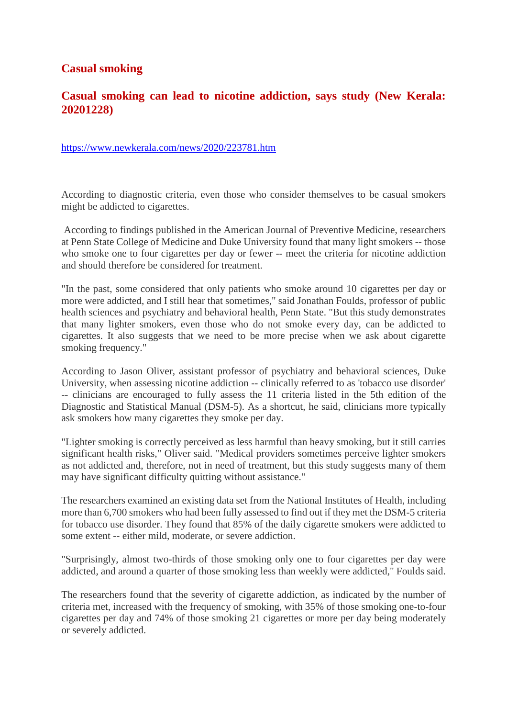#### **Casual smoking**

#### **Casual smoking can lead to nicotine addiction, says study (New Kerala: 20201228)**

https://www.newkerala.com/news/2020/223781.htm

According to diagnostic criteria, even those who consider themselves to be casual smokers might be addicted to cigarettes.

According to findings published in the American Journal of Preventive Medicine, researchers at Penn State College of Medicine and Duke University found that many light smokers -- those who smoke one to four cigarettes per day or fewer -- meet the criteria for nicotine addiction and should therefore be considered for treatment.

"In the past, some considered that only patients who smoke around 10 cigarettes per day or more were addicted, and I still hear that sometimes," said Jonathan Foulds, professor of public health sciences and psychiatry and behavioral health, Penn State. "But this study demonstrates that many lighter smokers, even those who do not smoke every day, can be addicted to cigarettes. It also suggests that we need to be more precise when we ask about cigarette smoking frequency."

According to Jason Oliver, assistant professor of psychiatry and behavioral sciences, Duke University, when assessing nicotine addiction -- clinically referred to as 'tobacco use disorder' -- clinicians are encouraged to fully assess the 11 criteria listed in the 5th edition of the Diagnostic and Statistical Manual (DSM-5). As a shortcut, he said, clinicians more typically ask smokers how many cigarettes they smoke per day.

"Lighter smoking is correctly perceived as less harmful than heavy smoking, but it still carries significant health risks," Oliver said. "Medical providers sometimes perceive lighter smokers as not addicted and, therefore, not in need of treatment, but this study suggests many of them may have significant difficulty quitting without assistance."

The researchers examined an existing data set from the National Institutes of Health, including more than 6,700 smokers who had been fully assessed to find out if they met the DSM-5 criteria for tobacco use disorder. They found that 85% of the daily cigarette smokers were addicted to some extent -- either mild, moderate, or severe addiction.

"Surprisingly, almost two-thirds of those smoking only one to four cigarettes per day were addicted, and around a quarter of those smoking less than weekly were addicted," Foulds said.

The researchers found that the severity of cigarette addiction, as indicated by the number of criteria met, increased with the frequency of smoking, with 35% of those smoking one-to-four cigarettes per day and 74% of those smoking 21 cigarettes or more per day being moderately or severely addicted.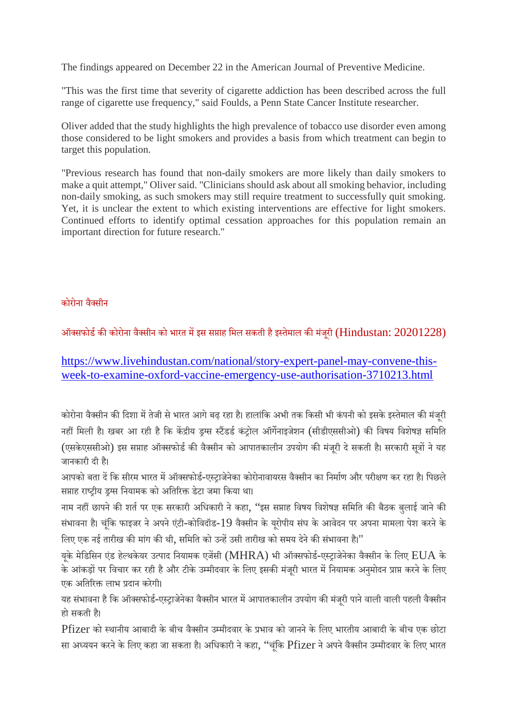The findings appeared on December 22 in the American Journal of Preventive Medicine.

"This was the first time that severity of cigarette addiction has been described across the full range of cigarette use frequency," said Foulds, a Penn State Cancer Institute researcher.

Oliver added that the study highlights the high prevalence of tobacco use disorder even among those considered to be light smokers and provides a basis from which treatment can begin to target this population.

"Previous research has found that non-daily smokers are more likely than daily smokers to make a quit attempt," Oliver said. "Clinicians should ask about all smoking behavior, including non-daily smoking, as such smokers may still require treatment to successfully quit smoking. Yet, it is unclear the extent to which existing interventions are effective for light smokers. Continued efforts to identify optimal cessation approaches for this population remain an important direction for future research."

#### कोरोना वैसीन

ऑक्सफोर्ड की कोरोना वैक्सीन को भारत में इस सप्ताह मिल सकती है इस्तेमाल की मंजरी ( $\rm{Hindustan:}$   $20201228$ )

https://www.livehindustan.com/national/story-expert-panel-may-convene-thisweek-to-examine-oxford-vaccine-emergency-use-authorisation-3710213.html

कोरोना वैक्सीन की दिशा में तेजी से भारत आगे बढ़ रहा है। हालांकि अभी तक किसी भी कंपनी को इसके इस्तेमाल की मंजरी नहीं मिली है। खबर आ रही है कि केंद्रीय ड़ग्स स्टैंडर्ड कंट्रोल ऑर्गेनाइजेशन (सीडीएससीओ) की विषय विशेषज्ञ समिति (एसकेएससीओ) इस सप्ताह ऑक्सफोर्ड की वैक्सीन को आपातकालीन उपयोग की मंजूरी दे सकती है। सरकारी सूत्रों ने यह जानकारी दी ह।ै

आपको बता दें कि सीरम भारत में ऑक्सफोर्ड-एस्ट्राजेनेका कोरोनावायरस वैक्सीन का निर्माण और परीक्षण कर रहा है। पिछले सप्ताह राष्ट्रीय इग्स नियामक को अतिरिक्त डेटा जमा किया था।

नाम नहीं छापने की शर्त पर एक सरकारी अधिकारी ने कहा, ''इस सप्ताह विषय विशेषज्ञ समिति की बैठक बुलाई जाने की संभावना है। चंकि फाइजर ने अपने एंटी-कोविदॉड-19 वैक्सीन के युरोपीय संघ के आवेदन पर अपना मामला पेश करने के लिए एक नई तारीख की मांग की थी, समिति को उन्हें उसी तारीख को समय देने की संभावना है।"

यके मेडिसिन एंड हेल्थकेयर उत्पाद नियामक एजेंसी (MHRA) भी ऑक्सफोर्ड-एस्ट्राजेनेका वैक्सीन के लिए  $\rm EUA$  के के आंकड़ों पर विचार कर रही है और टीके उम्मीदवार के लिए इसकी मंजूरी भारत में नियामक अनुमोदन प्राप्त करने के लिए एक अतिरिक्त लाभ प्रदान करेगी।

यह संभावना है कि ऑक्सफोर्ड-एस्ट्राजेनेका वैक्सीन भारत में आपातकालीन उपयोग की मंजुरी पाने वाली वाली पहली वैक्सीन हो सकती ह।ै

Pfizer को स्थानीय आबादी के बीच वैक्सीन उम्मीदवार के प्रभाव को जानने के लिए भारतीय आबादी के बीच एक छोटा सा अध्ययन करने के लिए कहा जा सकता है। अधिकारी ने कहा, ''चंकि Pfizer ने अपने वैक्सीन उम्मीदवार के लिए भारत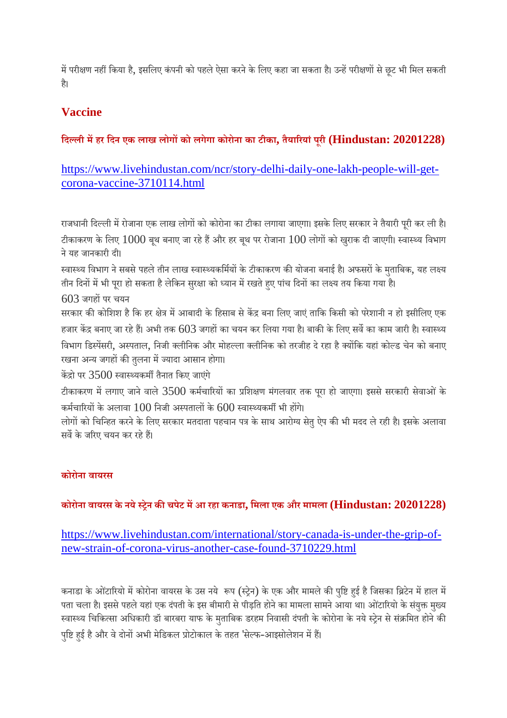में परीक्षण नहीं किया है, इसलिए कंपनी को पहले ऐसा करने के लिए कहा जा सकता है। उन्हें परीक्षणों से छूट भी मिल सकती ह।ै

# **Vaccine**

### **िदली महर िदन एक लाख लोगको लगेगा कोरोना का टीका, तैयारयां पूरी (Hindustan: 20201228)**

# https://www.livehindustan.com/ncr/story-delhi-daily-one-lakh-people-will-getcorona-vaccine-3710114.html

राजधानी दिल्ली में रोजाना एक लाख लोगों को कोरोना का टीका लगाया जाएगा। इसके लिए सरकार ने तैयारी परी कर ली है। टीकाकरण के लिए  $1000$  बूथ बनाए जा रहे हैं और हर बूथ पर रोजाना  $100$  लोगों को खुराक दी जाएगी। स्वास्थ्य विभाग नेयह जानकारी दी।

स्वास्थ्य विभाग ने सबसे पहले तीन लाख स्वास्थ्यकर्मियों के टीकाकरण की योजना बनाई है। अफसरों के मुताबिक, यह लक्ष्य तीन दिनों में भी पूरा हो सकता है लेकिन सुरक्षा को ध्यान में रखते हुए पांच दिनों का लक्ष्य तय किया गया है।

 $603$  जगहों पर चयन

सरकार की कोशिश है कि हर क्षेत्र में आबादी के हिसाब से केंद्र बना लिए जाएं ताकि किसी को परेशानी न हो इसीलिए एक हजार केंद्र बनाए जा रहे हैं। अभी तक 603 जगहों का चयन कर लिया गया है। बाकी के लिए सर्वे का काम जारी है। स्वास्थ्य विभाग डिस्पेंसरी, अस्पताल, निजी क्लीनिक और मोहल्ला क्लीनिक को तरजीह दे रहा है क्योंकि यहां कोल्ड चेन को बनाए रखना अन्य जगहों की तुलना में ज्यादा आसान होगा।

केंद्रो पर 3500 स्वास्थ्यकर्मी तैनात किए जाएंगे

टीकाकरण में लगाए जाने वाले 3500 कर्मचारियों का प्रशिक्षण मंगलवार तक परा हो जाएगा। इससे सरकारी सेवाओं के कर्मचारियों के अलावा  $100$  निजी अस्पतालों के  $600$  स्वास्थ्यकर्मी भी होंगे।

लोगों को चिन्हित करने के लिए सरकार मतदाता पहचान पत्र के साथ आरोग्य सेतु ऐप की भी मदद ले रही है। इसके अलावा सवकेजरए चयन कर रहेह।

#### **कोरोना वायरस**

# **कोरोना वायरस के नयेेन कचपेट मआ रहा कनाडा, िमला एक और मामला (Hindustan: 20201228)**

### https://www.livehindustan.com/international/story-canada-is-under-the-grip-ofnew-strain-of-corona-virus-another-case-found-3710229.html

कनाडा के ओटारियो में कोरोना वायरस के उस नये रूप (स्ट्रेन) के एक और मामले की पुष्टि हुई है जिसका ब्रिटेन में हाल में पता चला है। इससे पहले यहां एक दंपती के इस बीमारी से पीड़ति होने का मामला सामने आया था। ओटारियो के संयुक्त मुख्य स्वास्थ्य चिकित्सा अधिकारी डॉ बारबरा याफ के मुताबिक डरहम निवासी दंपती के कोरोना के नये स्ट्रेन से संक्रमित होने की पुष्टि हुई है और वे दोनों अभी मेडिकल प्रोटोकाल के तहत 'सेल्फ-आइसोलेशन में हैं।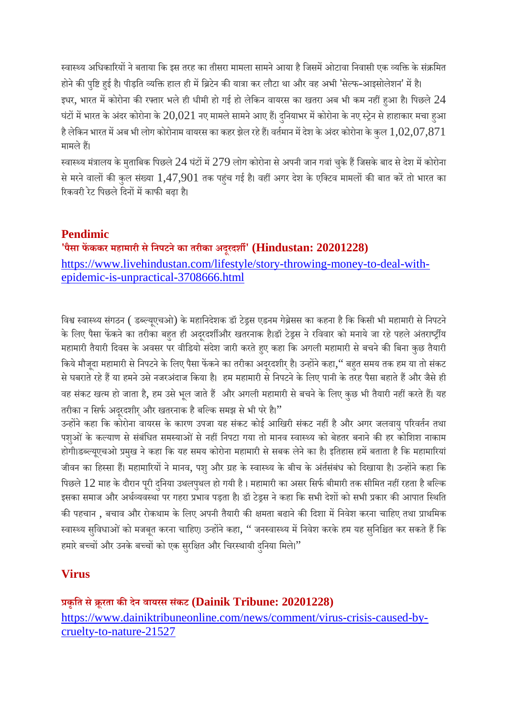स्वास्थ्य अधिकारियों ने बताया कि इस तरह का तीसरा मामला सामने आया है जिसमें ओटावा निवासी एक व्यक्ति के संक्रमित

होने की पुष्टि हुई है। पीड़ति व्यक्ति हाल ही में ब्रिटेन की यात्रा कर लौटा था और वह अभी 'सेल्फ-आइसोलेशन' में है। इधर, भारत में कोरोना की रफ्तार भले ही धीमी हो गई हो लेकिन वायरस का खतरा अब भी कम नहीं हआ है। पिछले  $24$ घंटों में भारत के अंदर कोरोना के  $20,021$  नए मामले सामने आए हैं। दनियाभर में कोरोना के नए स्ट्रेन से हाहाकार मचा हआ है लेकिन भारत में अब भी लोग कोरोनाम वायरस का कहर झेल रहे हैं। वर्तमान में देश के अंदर कोरोना के कुल  $1,\!02,\!07,\!871$ मामले हैं।

स्वास्थ्य मंत्रालय के मुताबिक पिछले 24 घंटों में 279 लोग कोरोना से अपनी जान गवां चुके हैं जिसके बाद से देश में कोरोना से मरने वालों की कुल संख्या 1,47,901 तक पहुंच गई है। वहीं अगर देश के एक्टिव मामलों की बात करें तो भारत का रिकवरी रेट पिछले दिनों में काफी बढ़ा है।

# **Pendimic**

**'पैसा फककर महामारी सेिनपटनेका तरीका अदूरदश' (Hindustan: 20201228)** https://www.livehindustan.com/lifestyle/story-throwing-money-to-deal-withepidemic-is-unpractical-3708666.html

विश्व स्वास्थ्य संगठन ( डब्ल्यूएचओ) के महानिदेशक डॉ टेड्रस एडनम गेब्रेसस का कहना है कि किसी भी महामारी से निपटने के लिए पैसा फेंकने का तरीका बहुत ही अदूरदर्शीऔर खतरनाक है।डॉ टेड्रस ने रविवार को मनाये जा रहे पहले अंतराष्ट्रीय महामारी तैयारी िदवस के अवसर पर वीिडयो संदशे जारी करतेहए कहा िक अगली महामारी सेबचनेकिबना कुछ तैयारी किये मौजूदा महामारी से निपटने के लिए पैसा फेंकने का तरीका अदरदशीर है। उन्होंने कहा,'' बहत समय तक हम या तो संकट से घबराते रहे हैं या हमने उसे नजरअंदाज किया है। हम महामारी से निपटने के लिए पानी के तरह पैसा बहाते हैं और जैसे ही वह संकट खत्म हो जाता है, हम उसे भूल जाते हैं और अगली महामारी से बचने के लिए कुछ भी तैयारी नहीं करते हैं। यह तरीका न सिर्फ अदरदशीर् और खतरनाक है बल्कि समझ से भी परे है।''

उन्होंने कहा कि कोरोना वायरस के कारण उपजा यह संकट कोई आखिरी संकट नहीं है और अगर जलवायु परिवर्तन तथा पशुओं के कल्याण से संबंधित समस्याओं से नहीं निपटा गया तो मानव स्वास्थ्य को बेहतर बनाने की हर कोशिश नाकाम होगी।डब्ल्यूएचओ प्रमुख ने कहा कि यह समय कोरोना महामारी से सबक लेने का है। इतिहास हमें बताता है कि महामारियां जीवन का हिस्सा हैं। महामारियों ने मानव, पशु और ग्रह के स्वास्थ्य के बीच के अंर्तसंबंध को दिखाया है। उन्होंने कहा कि पिछले  $12$  माह के दौरान पूरी दनिया उथलपृथल हो गयी है। महामारी का असर सिर्फ बीमारी तक सीमित नहीं रहता है बल्कि इसका समाज और अर्थव्यवस्था पर गहरा प्रभाव पड़ता है। डॉ टेड्स ने कहा कि सभी देशों को सभी प्रकार की आपात स्थिति की पहचान , बचाव और रोकथाम के लिए अपनी तैयारी की क्षमता बढाने की दिशा में निवेश करना चाहिए तथा प्राथमिक स्वास्थ्य सुविधाओं को मजबूत करना चाहिए। उन्होंने कहा, '' जनस्वास्थ्य में निवेश करके हम यह सुनिश्चित कर सकते हैं कि हमारे बच्चों और उनके बच्चों को एक सुरक्षित और चिरस्थायी दनिया मिले।"

# **Virus**

#### **कृित सेूरता कदेन वायरस सकं ट (Dainik Tribune: 20201228)**

https://www.dainiktribuneonline.com/news/comment/virus-crisis-caused-bycruelty-to-nature-21527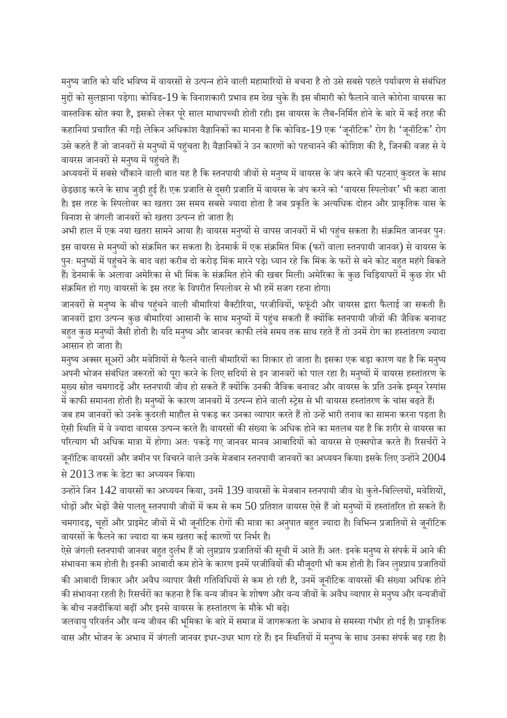मनुष्य जाति को यदि भविष्य में वायरसों से उत्पन्न होने वाली महामारियों से बचना है तो उसे सबसे पहले पर्यावरण से संबंधित मुद्दों को सुलझाना पड़ेगा। कोविड-19 के विनाशकारी प्रभाव हम देख चुके हैं। इस बीमारी को फैलाने वाले कोरोना वायरस का वास्तविक स्रोत क्या है, इसको लेकर पूरे साल माथापच्ची होती रही। इस वायरस के लैब-निर्मित होने के बारे में कई तरह की कहानियां प्रचारित की गई| लेकिन अधिकांश वैज्ञानिकों का मानना है कि कोविड- $19$  एक 'जूनॉटिक' रोग है। 'जूनॉटिक' रोग उसे कहते हैं जो जानवरों से मनुष्यों में पहुंचता है। वैज्ञानिकों ने उन कारणों को पहचानने की कोशिश की है, जिनकी वजह से ये वायरस जानवरों से मनुष्य में पहुंचते हैं।

अध्ययनों में सबसे चौंकाने वाली बात यह है कि स्तनपायी जीवों से मनुष्य में वायरस के जंप करने की घटनाएं कुदरत के साथ छेड़छाड़ करने के साथ जुड़ी हुई हैं। एक प्रजाति से दूसरी प्रजाति में वायरस के जंप करने को 'वायरस स्पिलोवर' भी कहा जाता है। इस तरह के स्पिलोवर का खतरा उस समय सबसे ज्यादा होता है जब प्रकृति के अत्यधिक दोहन और प्राकृतिक वास के विनाश से जंगली जानवरों को खतरा उत्पन्न हो जाता है।

अभी हाल में एक नया खतरा सामने आया है। वायरस मनुष्यों से वापस जानवरों में भी पहुंच सकता है। संक्रमित जानवर पुनः इस वायरस से मनुष्यों को संक्रमित कर सकता है। डेनमार्क में एक संक्रमित मिंक (फरों वाला स्तनपायी जानवर) से वायरस के पुनः मनुष्यों में पहुंचने के बाद वहां करीब दो करोड़ मिंक मारने पड़े। ध्यान रहे कि मिंक के फरों से बने कोट बहुत महंगे बिकते हैं। डेनमार्क के अलावा अमेरिका से भी मिंक के संक्रमित होने की खबर मिली। अमेरिका के कुछ चिड़ियाघरों में कुछ शेर भी संक्रमित हो गए। वायरसों के इस तरह के विपरीत स्पिलोवर से भी हमें सजग रहना होगा।

जानवरों से मनुष्य के बीच पहुंचने वाली बीमारियां बैक्टीरिया, परजीवियों, फफूंदी और वायरस द्वारा फैलाई जा सकती हैं। जानवरों द्वारा उत्पन्न कुछ बीमारियां आसानी के साथ मनुष्यों में पहुंच सकती हैं क्योंकि स्तनपायी जीवों की जैविक बनावट बहत कुछ मनुष्यों जैसी होती है। यदि मनुष्य और जानवर काफी लंबे समय तक साथ रहते हैं तो उनमें रोग का हस्तांतरण ज्यादा आसान हो जाता ह।ै

मनुष्य अक्सर सूअरों और मवेशियों से फैलने वाली बीमारियों का शिकार हो जाता है। इसका एक बड़ा कारण यह है कि मनुष्य अपनी भोजन संबंधित जरूरतों को पूरा करने के लिए सदियों से इन जानवरों को पाल रहा है। मनुष्यों में वायरस हस्तांतरण के मुख्य स्रोत चमगादड़ें और स्तनपायी जीव हो सकते हैं क्योंकि उनकी जैविक बनावट और वायरस के प्रति उनके इम्युन रेस्पांस

में काफी समानता होती है। मनुष्यों के कारण जानवरों में उत्पन्न होने वाली स्ट्रेस से भी वायरस हस्तांतरण के चांस बढ़ते हैं। जब हम जानवरों को उनके कुदरती माहौल से पकड़ कर उनका व्यापार करते हैं तो उन्हें भारी तनाव का सामना करना पड़ता है। ऐसी स्थिति में वे ज्यादा वायरस उत्पन्न करते हैं। वायरसों की संख्या के अधिक होने का मतलब यह है कि शरीर से वायरस का परित्याग भी अधिक मात्रा में होगा। अतः पकड़े गए जानवर मानव आबादियों को वायरस से एक्सपोज करते हैं। रिसर्चरों ने जूनॉटिक वायरसों और जमीन पर विचरने वाले उनके मेजबान स्तनपायी जानवरों का अध्ययन किया। इसके लिए उन्होंने  $2004$ 

से2013 तक के डेटा का अययन िकया।

उन्होंने जिन 142 वायरसों का अध्ययन किया, उनमें 139 वायरसों के मेजबान स्तनपायी जीव थे। कुत्ते-बिल्लियों, मवेशियों, घोड़ों और भेड़ों जैसे पालतू स्तनपायी जीवों में कम से कम 50 प्रतिशत वायरस ऐसे हैं जो मनुष्यों में हस्तांतरित हो सकते हैं। चमगादड़, चूहों और प्राइमेट जीवों में भी जूनॉटिक रोगों की मात्रा का अनुपात बहुत ज्यादा है। विभिन्न प्रजातियों से जूनॉटिक वायरसों के फैलने का ज्यादा या कम खतरा कई कारणों पर निर्भर है।

ऐसे जंगली स्तनपायी जानवर बहुत दुर्लभ हैं जो लुप्तप्राय प्रजातियों की सूची में आते हैं। अतः इनके मनुष्य से संपर्क में आने की संभावना कम होती है। इनकी आबादी कम होने के कारण इनमें परजीवियों की मौजूदगी भी कम होती है। जिन लुप्तप्राय प्रजातियों की आबादी शिकार और अवैध व्यापार जैसी गतिविधियों से कम हो रही है, उनमें जूनॉटिक वायरसों की संख्या अधिक होने की संभावना रहती है। रिसर्चरों का कहना है कि वन्य जीवन के शोषण और वन्य जीवों के अवैध व्यापार से मनुष्य और वन्यजीवों के बीच नजदीकियां बढ़ीं और इनसे वायरस के हस्तांतरण के मौके भी बढ़े।

जलवायु परिवर्तन और वन्य जीवन की भूमिका के बारे में समाज में जागरूकता के अभाव से समस्या गंभीर हो गई है। प्राकृतिक वास और भोजन के अभाव में जंगली जानवर इधर-उधर भाग रहे हैं। इन स्थितियों में मनुष्य के साथ उनका संपर्क बढ़ रहा है।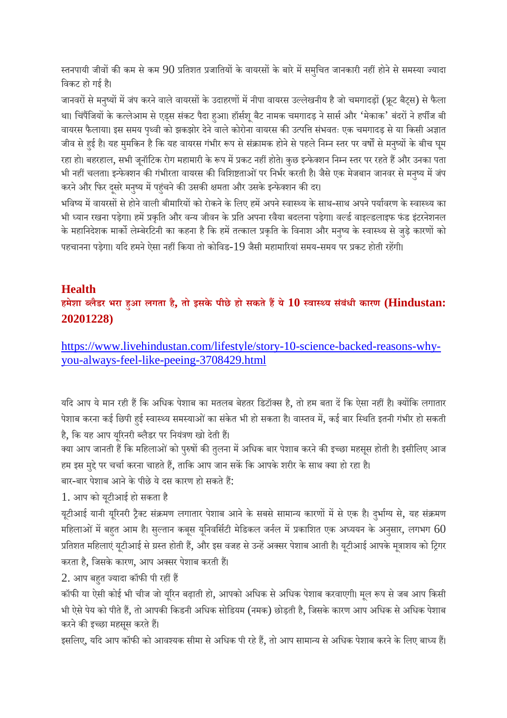स्तनपायी जीवों की कम से कम 90 प्रतिशत प्रजातियों के वायरसों के बारे में समुचित जानकारी नहीं होने से समस्या ज्यादा िवकट हो गई ह।ै

जानवरों से मनुष्यों में जंप करने वाले वायरसों के उदाहरणों में नीपा वायरस उल्लेखनीय है जो चमगादड़ों (फ्रूट बैट्स) से फैला था। चिंपैंजियों के कत्लेआम से एड्स संकट पैदा हआ। हॉर्सशू बैट नामक चमगादड़ ने सार्स और 'मेकाक' बंदरों ने हपींज बी वायरस फैलाया। इस समय पृथ्वी को झकझोर देने वाले कोरोना वायरस की उत्पत्ति संभवतः एक चमगादड़ से या किसी अज्ञात जीव से हुई है। यह मुमकिन है कि यह वायरस गंभीर रूप से संक्रामक होने से पहले निम्न स्तर पर वर्षों से मनुष्यों के बीच घूम रहा हो। बहरहाल, सभी जूनॉटिक रोग महामारी के रूप में प्रकट नहीं होते। कुछ इन्फेक्शन निम्न स्तर पर रहते हैं और उनका पता भी नहीं चलता। इन्फेक्शन की गंभीरता वायरस की विशिष्टताओं पर निर्भर करती है। जैसे एक मेजबान जानवर से मनष्य में जंप करने और फिर दूसरे मनुष्य में पहुंचने की उसकी क्षमता और उसके इन्फेक्शन की दर।

भविष्य में वायरसों से होने वाली बीमारियों को रोकने के लिए हमें अपने स्वास्थ्य के साथ-साथ अपने पर्यावरण के स्वास्थ्य का भी ध्यान रखना पड़ेगा। हमें प्रकृति और वन्य जीवन के प्रति अपना रवैया बदलना पड़ेगा। वर्ल्ड वाइल्डलाइफ फंड इंटरनेशनल के महानिदेशक मार्को लेम्बेरटिनी का कहना है कि हमें तत्काल प्रकृति के विनाश और मनुष्य के स्वास्थ्य से जुड़े कारणों को पहचानना पड़ेगा। यदि हमने ऐसा नहीं किया तो कोविड-19 जैसी महामारियां समय-समय पर प्रकट होती रहेंगी।

#### **Health**

**हमेशा लैडर भरा हआ लगता है, तो इसके पीछे हो सकतेहये10 वाय सबं ंधी कारण (Hindustan: 20201228)**

https://www.livehindustan.com/lifestyle/story-10-science-backed-reasons-whyyou-always-feel-like-peeing-3708429.html

यदि आप ये मान रही हैं कि अधिक पेशाब का मतलब बेहतर डिटॉक्स है, तो हम बता दें कि ऐसा नहीं है। क्योंकि लगातार पेशाब करना कई छिपी हई स्वास्थ्य समस्याओं का संकेत भी हो सकता है। वास्तव में, कई बार स्थिति इतनी गंभीर हो सकती है, कि यह आप यूरिनरी ब्लैडर पर नियंत्रण खो देती हैं।

क्या आप जानती हैं कि महिलाओं को पुरुषों की तुलना में अधिक बार पेशाब करने की इच्छा महसूस होती है। इसीलिए आज हम इस मुद्दे पर चर्चा करना चाहते हैं, ताकि आप जान सकें कि आपके शरीर के साथ क्या हो रहा है।

बार-बार पेशाब आने के पीछे ये दस कारण हो सकते हैं:

1. आप को यटूीआई हो सकता है

यूटीआई यानी यूरिनरी ट्रैक्ट संक्रमण लगातार पेशाब आने के सबसे सामान्य कारणों में से एक है। दुर्भाग्य से, यह संक्रमण महिलाओं में बहुत आम है। सुल्तान कबूस यूनिवर्सिटी मेडिकल जर्नल में प्रकाशित एक अध्ययन के अनुसार, लगभग  $60$ प्रतिशत महिलाएं यटीआई से ग्रस्त होती हैं, और इस वजह से उन्हें अक्सर पेशाब आती है। यटीआई आपके मुत्राशय को ट्रिगर करता है, जिसके कारण, आप अक्सर पेशाब करती हैं।

2. आप बहुत ज्यादा कॉफी पी रहीं हैं

कॉफी या ऐसी कोई भी चीज जो यूरिन बढ़ाती हो, आपको अधिक से अधिक पेशाब करवाएगी। मूल रूप से जब आप किसी भी ऐसे पेय को पीते हैं, तो आपकी किडनी अधिक सोडियम (नमक) छोड़ती है, जिसके कारण आप अधिक से अधिक पेशाब करने की इच्छा महसूस करते हैं।

इसलिए, यदि आप कॉफी को आवश्यक सीमा से अधिक पी रहे हैं, तो आप सामान्य से अधिक पेशाब करने के लिए बाध्य हैं।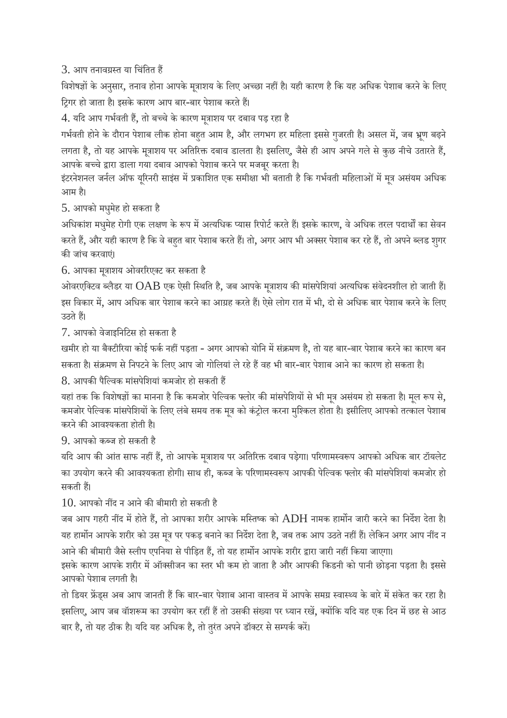3. आप तनावग्रस्त या चिंतित हैं

विशेषज्ञों के अनुसार, तनाव होना आपके मूत्राशय के लिए अच्छा नहीं है। यही कारण है कि यह अधिक पेशाब करने के लिए टिगर हो जाता है। इसके कारण आप बार-बार पेशाब करते हैं।

4. यदि आप गर्भवती हैं, तो बच्चे के कारण मूत्राशय पर दबाव पड़ रहा है

गर्भवती होने के दौरान पेशाब लीक होना बहुत आम है, और लगभग हर महिला इससे गुजरती है। असल में, जब भ्रूण बढ़ने लगता है, तो यह आपके मुत्राशय पर अतिरिक्त दबाव डालता है। इसलिए, जैसे ही आप अपने गले से कुछ नीचे उतारते हैं, आपके बच्चे द्वारा डाला गया दबाव आपको पेशाब करने पर मजबर करता है।

इंटरनेशनल जर्नल ऑफ यूरिनरी साइंस में प्रकाशित एक समीक्षा भी बताती है कि गर्भवती महिलाओं में मूत्र असंयम अधिक आम है।

5. आपको मधमुहे हो सकता है

अधिकांश मधुमेह रोगी एक लक्षण के रूप में अत्यधिक प्यास रिपोर्ट करते हैं। इसके कारण, वे अधिक तरल पदार्थों का सेवन करते हैं, और यही कारण है कि वे बहुत बार पेशाब करते हैं। तो, अगर आप भी अक्सर पेशाब कर रहे हैं, तो अपने ब्लड शुगर की जांच करवाएं।

6. आपका मूाशय ओवररएट कर सकता है

ओवरएक्टिव ब्लैडर या  $OAB$  एक ऐसी स्थिति है, जब आपके मूत्राशय की मांसपेशियां अत्यधिक संवेदनशील हो जाती हैं। इस विकार में, आप अधिक बार पेशाब करने का आग्रह करते हैं। ऐसे लोग रात में भी, दो से अधिक बार पेशाब करने के लिए उठते हैं।

7. आपको वेजाइिनिटस हो सकता है

खमीर हो या बैक्टीरिया कोई फर्क नहीं पड़ता - अगर आपको योनि में संक्रमण है, तो यह बार-बार पेशाब करने का कारण बन सकता है। संक्रमण से निपटने के लिए आप जो गोलियां ले रहे हैं वह भी बार-बार पेशाब आने का कारण हो सकता है।

 $8$  आपकी पैल्विक मांसपेशियां कमजोर हो सकती हैं

यहां तक कि विशेषज्ञों का मानना है कि कमजोर पेल्विक फ्लोर की मांसपेशियों से भी मूत्र असंयम हो सकता है। मूल रूप से, कमजोर पेल्विक मांसपेशियों के लिए लंबे समय तक मूत्र को कंट्रोल करना मुश्किल होता है। इसीलिए आपको तत्काल पेशाब करने की आवश्यकता होती है।

9. आपको कज हो सकती है

यदि आप की आंत साफ नहीं हैं, तो आपके मूत्राशय पर अतिरिक्त दबाव पड़ेगा। परिणामस्वरूप आपको अधिक बार टॉयलेट का उपयोग करने की आवश्यकता होगी। साथ ही, कब्ज के परिणामस्वरूप आपकी पेल्विक फ्लोर की मांसपेशियां कमजोर हो सकती ह।

 $10$ . आपको नींद न आने की बीमारी हो सकती है

जब आप गहरी नींद में होते हैं, तो आपका शरीर आपके मस्तिष्क को  $\mathrm{ADH}$  नामक हार्मोन जारी करने का निर्देश देता है। यह हार्मोन आपके शरीर को उस मूत्र पर पकड़ बनाने का निर्देश देता है, जब तक आप उठते नहीं हैं। लेकिन अगर आप नींद न आने की बीमारी जैसे स्लीप एपनिया से पीड़ित हैं, तो यह हार्मोन आपके शरीर द्वारा जारी नहीं किया जाएगा।

इसके कारण आपके शरीर में ऑक्सीजन का स्तर भी कम हो जाता है और आपकी किडनी को पानी छोड़ना पड़ता है। इससे आपको पेशाब लगती ह।ै

तो डियर फ्रेंड्स अब आप जानती हैं कि बार-बार पेशाब आना वास्तव में आपके समग्र स्वास्थ्य के बारे में संकेत कर रहा है। इसलिए, आप जब वॉशरूम का उपयोग कर रहीं हैं तो उसकी संख्या पर ध्यान रखें, क्योंकि यदि यह एक दिन में छह से आठ बार है, तो यह ठीक है। यदि यह अधिक है, तो तुरंत अपने डॉक्टर से सम्पर्क करें।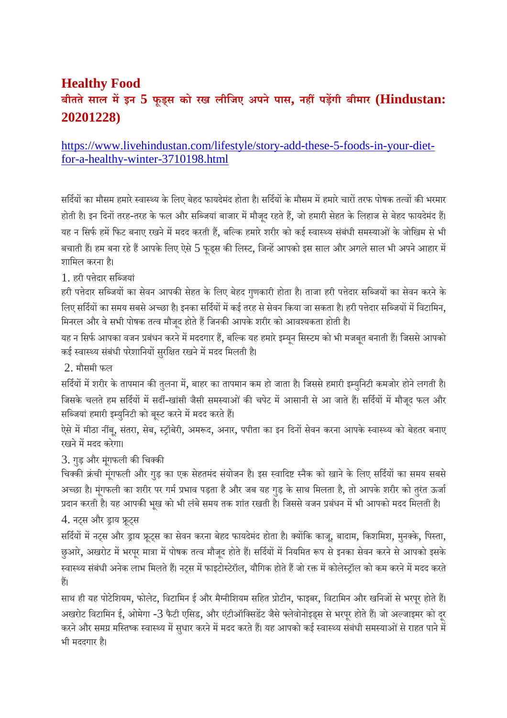# **Healthy Food बीततेसाल मइन 5 फूड्स को रख लीिजए अपने पास, नहपड़गी बीमार (Hindustan: 20201228)**

# https://www.livehindustan.com/lifestyle/story-add-these-5-foods-in-your-dietfor-a-healthy-winter-3710198.html

सर्दियों का मौसम हमारे स्वास्थ्य के लिए बेहद फायदेमंद होता है। सर्दियों के मौसम में हमारे चारों तरफ पोषक तत्वों की भरमार होती है। इन दिनों तरह-तरह के फल और सब्जियां बाजार में मौजद रहते हैं, जो हमारी सेहत के लिहाज से बेहद फायदेमंद हैं। यह न सिर्फ हमें फिट बनाए रखने में मदद करती हैं, बल्कि हमारे शरीर को कई स्वास्थ्य संबंधी समस्याओं के जोखिम से भी बचाती हैं। हम बना रहे हैं आपके लिए ऐसे 5 फूड्स की लिस्ट, जिन्हें आपको इस साल और अगले साल भी अपने आहार में शािमल करना ह।ै

1. हरी पेदार सिजयां

हरी पत्तेदार सब्जियों का सेवन आपकी सेहत के लिए बेहद गुणकारी होता है। ताजा हरी पत्तेदार सब्जियों का सेवन करने के िलए सर्दियों का समय सबसे अच्छा है। इनका सर्दियों में कई तरह से सेवन किया जा सकता है। हरी पत्तेदार सब्जियों में विटामिन, मिनरल और वे सभी पोषक तत्व मौजद होते हैं जिनकी आपके शरीर को आवश्यकता होती है।

यह न सिर्फ आपका वजन प्रबंधन करने में मददगार हैं, बल्कि यह हमारे इम्यन सिस्टम को भी मजबत बनाती हैं। जिससे आपको कई स्वास्थ्य संबंधी परेशानियों सुरक्षित रखने में मदद मिलती है।

2. मौसमी फल

सर्दियों में शरीर के तापमान की तुलना में, बाहर का तापमान कम हो जाता है। जिससे हमारी इम्युनिटी कमजोर होने लगती है। जिसके चलते हम सर्दियों में सर्दी-खांसी जैसी समस्याओं की चपेट में आसानी से आ जाते हैं। सर्दियों में मौजुद फल और सब्जियां हमारी इम्युनिटी को बुस्ट करने में मदद करते हैं।

ऐसे में मीठा नींबू, संतरा, सेब, स्ट्रॉबेरी, अमरूद, अनार, पपीता का इन दिनों सेवन करना आपके स्वास्थ्य को बेहतर बनाए रखने में मदद करेगा।

3. गुड़ और मूंगफली की चिक्की

चिक्की क्रंची मूंगफली और गुड़ का एक सेहतमंद संयोजन है। इस स्वादिष्ट स्नैक को खाने के लिए सर्दियों का समय सबसे अच्छा है। मंगफली का शरीर पर गर्म प्रभाव पड़ता है और जब यह गुड़ के साथ मिलता है, तो आपके शरीर को तुरंत ऊर्जा प्रदान करती है। यह आपकी भुख को भी लंबे समय तक शांत रखती है। जिससे वजन प्रबंधन में भी आपको मदद मिलती है।

4. नट्स और ड्राय फ्रूट्स

सर्दियों में नट्स और ड्राय फ्रूट्स का सेवन करना बेहद फायदेमंद होता है। क्योंकि काजू, बादाम, किशमिश, मुनक्के, पिस्ता, छुआरे, अखरोट में भरपूर मात्रा में पोषक तत्व मौजूद होते हैं। सर्दियों में नियमित रूप से इनका सेवन करने से आपको इसके स्वास्थ्य संबंधी अनेक लाभ मिलते हैं। नट्स में फाइटोस्टेरॉल, यौगिक होते हैं जो रक्त में कोलेस्ट्रॉल को कम करने में मदद करते ह।

साथ ही यह पोटेशियम, फोलेट, विटामिन ई और मैग्नीशियम सहित प्रोटीन, फाइबर, विटामिन और खनिजों से भरपूर होते हैं। अखरोट विटामिन ई, ओमेगा -3 फैटी एसिड, और एंटीऑक्सिडेंट जैसे फ्लेवोनोइड्स से भरपुर होते हैं। जो अल्जाइमर को दर करने और समग्र मस्तिष्क स्वास्थ्य में सुधार करने में मदद करते हैं। यह आपको कई स्वास्थ्य संबंधी समस्याओं से राहत पाने में भी मददगार ह।ै